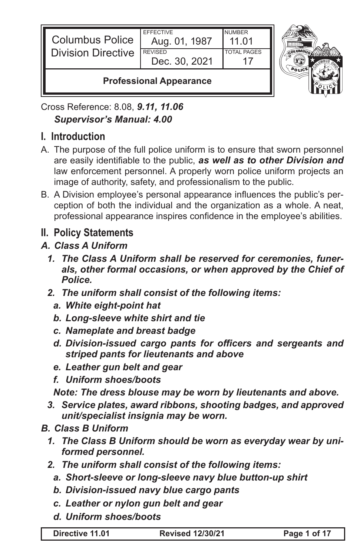| Columbus Police<br>Division Directive | <b>EFFECTIVE</b><br>Aug. 01, 1987<br><b>REVISED</b><br>Dec. 30, 2021 | <b>NUMBER</b><br>11.01<br><b>TOTAL PAGES</b> |  |
|---------------------------------------|----------------------------------------------------------------------|----------------------------------------------|--|
| <b>Professional Appearance</b>        |                                                                      |                                              |  |



Cross Reference: 8.08, *9.11, 11.06 Supervisor's Manual: 4.00*

# **I. Introduction**

- A. The purpose of the full police uniform is to ensure that sworn personnel are easily identifiable to the public, *as well as to other Division and* law enforcement personnel. A properly worn police uniform projects an image of authority, safety, and professionalism to the public.
- B. A Division employee's personal appearance influences the public's perception of both the individual and the organization as a whole. A neat, professional appearance inspires confidence in the employee's abilities.
- **II. Policy Statements**
- *A. Class A Uniform*
	- *1. The Class A Uniform shall be reserved for ceremonies, funerals, other formal occasions, or when approved by the Chief of Police.*
	- *2. The uniform shall consist of the following items:*
		- *a. White eight-point hat*
		- *b. Long-sleeve white shirt and tie*
		- *c. Nameplate and breast badge*
		- *d. Division-issued cargo pants for officers and sergeants and striped pants for lieutenants and above*
		- *e. Leather gun belt and gear*
		- *f. Uniform shoes/boots*

*Note: The dress blouse may be worn by lieutenants and above.*

- *3. Service plates, award ribbons, shooting badges, and approved unit/specialist insignia may be worn.*
- *B. Class B Uniform*
	- *1. The Class B Uniform should be worn as everyday wear by uniformed personnel.*
	- *2. The uniform shall consist of the following items:*
		- *a. Short-sleeve or long-sleeve navy blue button-up shirt*
		- *b. Division-issued navy blue cargo pants*
		- *c. Leather or nylon gun belt and gear*
		- *d. Uniform shoes/boots*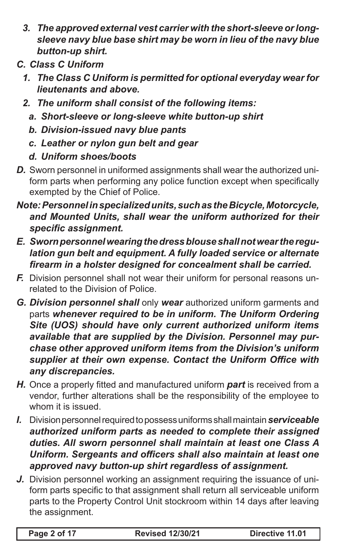- *3. The approved external vest carrier with the short-sleeve or longsleeve navy blue base shirt may be worn in lieu of the navy blue button-up shirt.*
- *C. Class C Uniform*
	- *1. The Class C Uniform is permitted for optional everyday wear for lieutenants and above.*
	- *2. The uniform shall consist of the following items:*
		- *a. Short-sleeve or long-sleeve white button-up shirt*
		- *b. Division-issued navy blue pants*
		- *c. Leather or nylon gun belt and gear*
		- *d. Uniform shoes/boots*
- *D.* Sworn personnel in uniformed assignments shall wear the authorized uniform parts when performing any police function except when specifically exempted by the Chief of Police.
- *Note: Personnel in specialized units, such as the Bicycle, Motorcycle, and Mounted Units, shall wear the uniform authorized for their specific assignment.*
- *E. Sworn personnel wearing the dress blouse shall not wear the regulation gun belt and equipment. A fully loaded service or alternate firearm in a holster designed for concealment shall be carried.*
- *F.* Division personnel shall not wear their uniform for personal reasons unrelated to the Division of Police.
- *G. Division personnel shall* only **wear** authorized uniform garments and parts *whenever required to be in uniform. The Uniform Ordering Site (UOS) should have only current authorized uniform items available that are supplied by the Division. Personnel may purchase other approved uniform items from the Division's uniform supplier at their own expense. Contact the Uniform Office with any discrepancies.*
- *H.* Once a properly fitted and manufactured uniform *part* is received from a vendor, further alterations shall be the responsibility of the employee to whom it is issued.
- *I.* Division personnel required to possess uniforms shall maintain *serviceable authorized uniform parts as needed to complete their assigned duties. All sworn personnel shall maintain at least one Class A Uniform. Sergeants and officers shall also maintain at least one approved navy button-up shirt regardless of assignment.*
- *J.* Division personnel working an assignment requiring the issuance of uniform parts specific to that assignment shall return all serviceable uniform parts to the Property Control Unit stockroom within 14 days after leaving the assignment.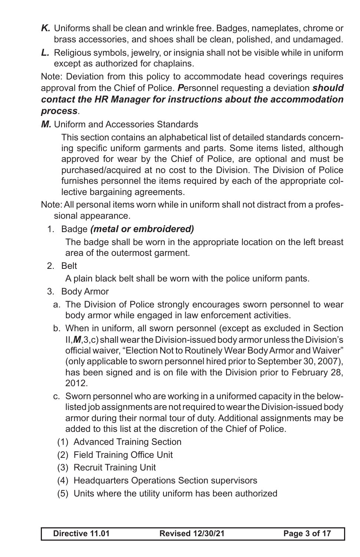- *K.* Uniforms shall be clean and wrinkle free. Badges, nameplates, chrome or brass accessories, and shoes shall be clean, polished, and undamaged.
- *L.* Religious symbols, jewelry, or insignia shall not be visible while in uniform except as authorized for chaplains.

Note: Deviation from this policy to accommodate head coverings requires approval from the Chief of Police. *P*ersonnel requesting a deviation *should contact the HR Manager for instructions about the accommodation process*.

*M.* Uniform and Accessories Standards

This section contains an alphabetical list of detailed standards concerning specific uniform garments and parts. Some items listed, although approved for wear by the Chief of Police, are optional and must be purchased/acquired at no cost to the Division. The Division of Police furnishes personnel the items required by each of the appropriate collective bargaining agreements.

Note: All personal items worn while in uniform shall not distract from a professional appearance.

#### 1. Badge *(metal or embroidered)*

The badge shall be worn in the appropriate location on the left breast area of the outermost garment.

2. Belt

A plain black belt shall be worn with the police uniform pants.

- 3. Body Armor
	- a. The Division of Police strongly encourages sworn personnel to wear body armor while engaged in law enforcement activities.
	- b. When in uniform, all sworn personnel (except as excluded in Section II,*M*,3,c) shall wear the Division-issued body armor unless the Division's official waiver, "Election Not to Routinely Wear Body Armor and Waiver" (only applicable to sworn personnel hired prior to September 30, 2007), has been signed and is on file with the Division prior to February 28, 2012.
	- c. Sworn personnel who are working in a uniformed capacity in the belowlisted job assignments are not required to wear the Division-issued body armor during their normal tour of duty. Additional assignments may be added to this list at the discretion of the Chief of Police.
		- (1) Advanced Training Section
		- (2) Field Training Office Unit
		- (3) Recruit Training Unit
		- (4) Headquarters Operations Section supervisors
		- (5) Units where the utility uniform has been authorized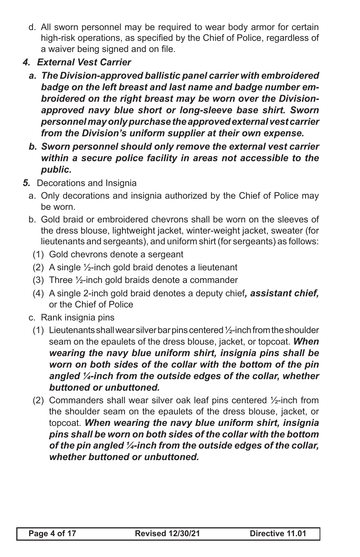- d. All sworn personnel may be required to wear body armor for certain high-risk operations, as specified by the Chief of Police, regardless of a waiver being signed and on file.
- *4. External Vest Carrier*
	- *a. The Division-approved ballistic panel carrier with embroidered badge on the left breast and last name and badge number embroidered on the right breast may be worn over the Divisionapproved navy blue short or long-sleeve base shirt. Sworn personnel may only purchase the approved external vest carrier from the Division's uniform supplier at their own expense.*
	- *b. Sworn personnel should only remove the external vest carrier within a secure police facility in areas not accessible to the public.*
- *5.* Decorations and Insignia
	- a. Only decorations and insignia authorized by the Chief of Police may be worn.
	- b. Gold braid or embroidered chevrons shall be worn on the sleeves of the dress blouse, lightweight jacket, winter-weight jacket, sweater (for lieutenants and sergeants), and uniform shirt (for sergeants) as follows:
		- (1) Gold chevrons denote a sergeant
		- (2) A single  $\frac{1}{2}$ -inch gold braid denotes a lieutenant
		- (3) Three ½-inch gold braids denote a commander
		- (4) A single 2-inch gold braid denotes a deputy chief*, assistant chief,*  or the Chief of Police
	- c. Rank insignia pins
		- (1) Lieutenants shall wear silver bar pins centered  $\frac{1}{2}$ -inch from the shoulder seam on the epaulets of the dress blouse, jacket, or topcoat. *When wearing the navy blue uniform shirt, insignia pins shall be worn on both sides of the collar with the bottom of the pin angled ¼-inch from the outside edges of the collar, whether buttoned or unbuttoned.*
		- (2) Commanders shall wear silver oak leaf pins centered ½-inch from the shoulder seam on the epaulets of the dress blouse, jacket, or topcoat. *When wearing the navy blue uniform shirt, insignia pins shall be worn on both sides of the collar with the bottom of the pin angled ¼-inch from the outside edges of the collar, whether buttoned or unbuttoned.*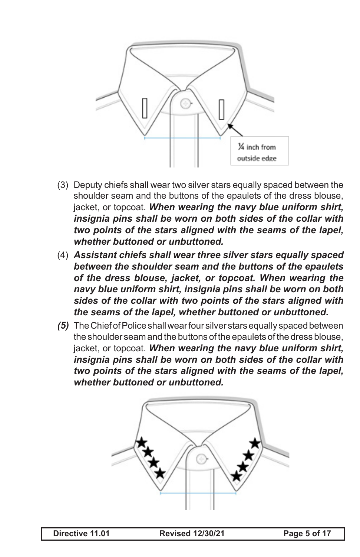

- (3) Deputy chiefs shall wear two silver stars equally spaced between the shoulder seam and the buttons of the epaulets of the dress blouse, jacket, or topcoat. *When wearing the navy blue uniform shirt, insignia pins shall be worn on both sides of the collar with two points of the stars aligned with the seams of the lapel, whether buttoned or unbuttoned.*
- (4) *Assistant chiefs shall wear three silver stars equally spaced between the shoulder seam and the buttons of the epaulets of the dress blouse, jacket, or topcoat. When wearing the navy blue uniform shirt, insignia pins shall be worn on both sides of the collar with two points of the stars aligned with the seams of the lapel, whether buttoned or unbuttoned.*
- *(5)* The Chief of Police shall wear four silver stars equally spaced between the shoulder seam and the buttons of the epaulets of the dress blouse, jacket, or topcoat. *When wearing the navy blue uniform shirt, insignia pins shall be worn on both sides of the collar with two points of the stars aligned with the seams of the lapel, whether buttoned or unbuttoned.*

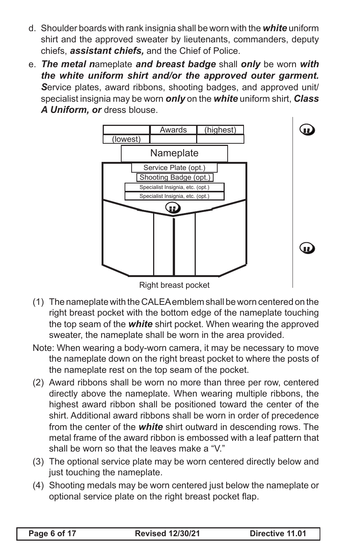- d. Shoulder boards with rank insignia shall be worn with the *white* uniform shirt and the approved sweater by lieutenants, commanders, deputy chiefs, *assistant chiefs,* and the Chief of Police.
- e. *The metal n*ameplate *and breast badge* shall *only* be worn *with the white uniform shirt and/or the approved outer garment. S*ervice plates, award ribbons, shooting badges, and approved unit/ specialist insignia may be worn *only* on the *white* uniform shirt, *Class A Uniform, or* dress blouse.



Right breast pocket

- (1) The nameplate with the CALEA emblem shall be worn centered on the right breast pocket with the bottom edge of the nameplate touching the top seam of the *white* shirt pocket. When wearing the approved sweater, the nameplate shall be worn in the area provided.
- Note: When wearing a body-worn camera, it may be necessary to move the nameplate down on the right breast pocket to where the posts of the nameplate rest on the top seam of the pocket.
- (2) Award ribbons shall be worn no more than three per row, centered directly above the nameplate. When wearing multiple ribbons, the highest award ribbon shall be positioned toward the center of the shirt. Additional award ribbons shall be worn in order of precedence from the center of the *white* shirt outward in descending rows. The metal frame of the award ribbon is embossed with a leaf pattern that shall be worn so that the leaves make a "V."
- (3) The optional service plate may be worn centered directly below and just touching the nameplate.
- (4) Shooting medals may be worn centered just below the nameplate or optional service plate on the right breast pocket flap.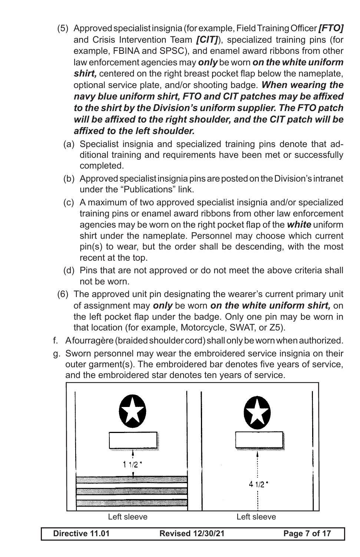- (5) Approved specialist insignia (for example, Field Training Officer *[FTO]* and Crisis Intervention Team *[CIT]*), specialized training pins (for example, FBINA and SPSC), and enamel award ribbons from other law enforcement agencies may *only* be worn *on the white uniform shirt,* centered on the right breast pocket flap below the nameplate, optional service plate, and/or shooting badge. *When wearing the navy blue uniform shirt, FTO and CIT patches may be affixed to the shirt by the Division's uniform supplier. The FTO patch will be affixed to the right shoulder, and the CIT patch will be affixed to the left shoulder.*
	- (a) Specialist insignia and specialized training pins denote that additional training and requirements have been met or successfully completed.
	- (b) Approved specialist insignia pins are posted on the Division's intranet under the "Publications" link.
	- (c) A maximum of two approved specialist insignia and/or specialized training pins or enamel award ribbons from other law enforcement agencies may be worn on the right pocket flap of the *white* uniform shirt under the nameplate. Personnel may choose which current pin(s) to wear, but the order shall be descending, with the most recent at the top.
	- (d) Pins that are not approved or do not meet the above criteria shall not be worn.
- (6) The approved unit pin designating the wearer's current primary unit of assignment may *only* be worn *on the white uniform shirt,* on the left pocket flap under the badge. Only one pin may be worn in that location (for example, Motorcycle, SWAT, or Z5).
- f. A fourragère (braided shoulder cord) shall only be worn when authorized.
- g. Sworn personnel may wear the embroidered service insignia on their outer garment(s). The embroidered bar denotes five years of service, and the embroidered star denotes ten years of service.



**Directive 11.01 Revised 12/30/21 Page 7 of 17**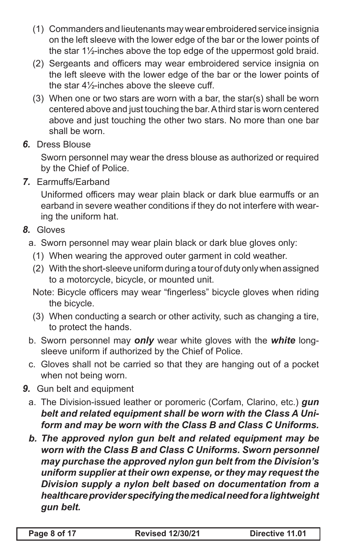- (1) Commanders and lieutenants may wear embroidered service insignia on the left sleeve with the lower edge of the bar or the lower points of the star 1½-inches above the top edge of the uppermost gold braid.
- (2) Sergeants and officers may wear embroidered service insignia on the left sleeve with the lower edge of the bar or the lower points of the star 4½-inches above the sleeve cuff.
- (3) When one or two stars are worn with a bar, the star(s) shall be worn centered above and just touching the bar. A third star is worn centered above and just touching the other two stars. No more than one bar shall be worn.
- *6.* Dress Blouse

Sworn personnel may wear the dress blouse as authorized or required by the Chief of Police.

*7.* Earmuffs/Earband

Uniformed officers may wear plain black or dark blue earmuffs or an earband in severe weather conditions if they do not interfere with wearing the uniform hat.

*8.* Gloves

## a. Sworn personnel may wear plain black or dark blue gloves only:

- (1) When wearing the approved outer garment in cold weather.
- (2) With the short-sleeve uniform during a tour of duty only when assigned to a motorcycle, bicycle, or mounted unit.

Note: Bicycle officers may wear "fingerless" bicycle gloves when riding the bicycle.

- (3) When conducting a search or other activity, such as changing a tire, to protect the hands.
- b. Sworn personnel may *only* wear white gloves with the *white* longsleeve uniform if authorized by the Chief of Police.
- c. Gloves shall not be carried so that they are hanging out of a pocket when not being worn.
- *9.* Gun belt and equipment
	- a. The Division-issued leather or poromeric (Corfam, Clarino, etc.) *gun belt and related equipment shall be worn with the Class A Uniform and may be worn with the Class B and Class C Uniforms.*
	- *b. The approved nylon gun belt and related equipment may be worn with the Class B and Class C Uniforms. Sworn personnel may purchase the approved nylon gun belt from the Division's uniform supplier at their own expense, or they may request the Division supply a nylon belt based on documentation from a healthcare provider specifying the medical need for a lightweight gun belt.*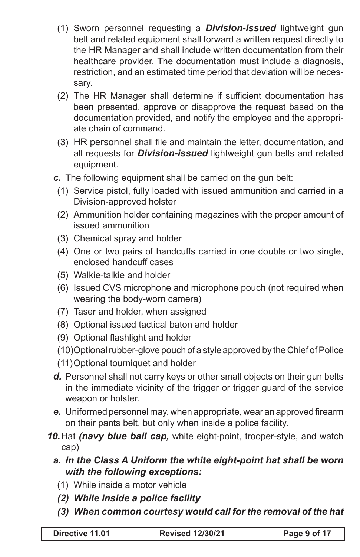- (1) Sworn personnel requesting a *Division-issued* lightweight gun belt and related equipment shall forward a written request directly to the HR Manager and shall include written documentation from their healthcare provider. The documentation must include a diagnosis, restriction, and an estimated time period that deviation will be necessary.
- (2) The HR Manager shall determine if sufficient documentation has been presented, approve or disapprove the request based on the documentation provided, and notify the employee and the appropriate chain of command.
- (3) HR personnel shall file and maintain the letter, documentation, and all requests for *Division-issued* lightweight gun belts and related equipment.
- *c.* The following equipment shall be carried on the gun belt:
	- (1) Service pistol, fully loaded with issued ammunition and carried in a Division-approved holster
	- (2) Ammunition holder containing magazines with the proper amount of issued ammunition
	- (3) Chemical spray and holder
	- (4) One or two pairs of handcuffs carried in one double or two single, enclosed handcuff cases
	- (5) Walkie-talkie and holder
	- (6) Issued CVS microphone and microphone pouch (not required when wearing the body-worn camera)
	- (7) Taser and holder, when assigned
	- (8) Optional issued tactical baton and holder
	- (9) Optional flashlight and holder
	- (10)Optional rubber-glove pouch of a style approved by the Chief of Police
	- (11)Optional tourniquet and holder
- *d.* Personnel shall not carry keys or other small objects on their gun belts in the immediate vicinity of the trigger or trigger guard of the service weapon or holster.
- *e.* Uniformed personnel may, when appropriate, wear an approved firearm on their pants belt, but only when inside a police facility.
- *10.*Hat *(navy blue ball cap,* white eight-point, trooper-style, and watch cap)
	- *a. In the Class A Uniform the white eight-point hat shall be worn with the following exceptions:*
		- (1) While inside a motor vehicle
		- *(2) While inside a police facility*
		- *(3) When common courtesy would call for the removal of the hat*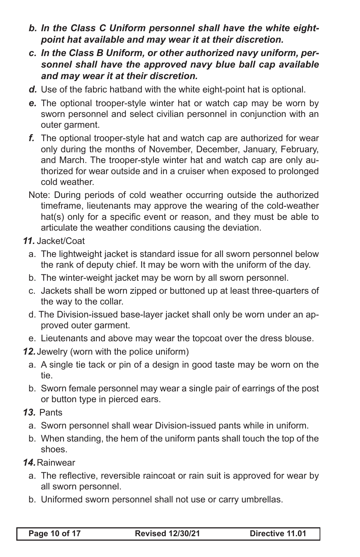- *b. In the Class C Uniform personnel shall have the white eightpoint hat available and may wear it at their discretion.*
- *c. In the Class B Uniform, or other authorized navy uniform, personnel shall have the approved navy blue ball cap available and may wear it at their discretion.*
- *d.* Use of the fabric hatband with the white eight-point hat is optional.
- *e.* The optional trooper-style winter hat or watch cap may be worn by sworn personnel and select civilian personnel in conjunction with an outer garment.
- *f.* The optional trooper-style hat and watch cap are authorized for wear only during the months of November, December, January, February, and March. The trooper-style winter hat and watch cap are only authorized for wear outside and in a cruiser when exposed to prolonged cold weather.
- Note: During periods of cold weather occurring outside the authorized timeframe, lieutenants may approve the wearing of the cold-weather hat(s) only for a specific event or reason, and they must be able to articulate the weather conditions causing the deviation.
- *11.* Jacket/Coat
	- a. The lightweight jacket is standard issue for all sworn personnel below the rank of deputy chief. It may be worn with the uniform of the day.
	- b. The winter-weight jacket may be worn by all sworn personnel.
	- c. Jackets shall be worn zipped or buttoned up at least three-quarters of the way to the collar.
	- d. The Division-issued base-layer jacket shall only be worn under an approved outer garment.
	- e. Lieutenants and above may wear the topcoat over the dress blouse.
- *12.*Jewelry (worn with the police uniform)
	- a. A single tie tack or pin of a design in good taste may be worn on the tie.
	- b. Sworn female personnel may wear a single pair of earrings of the post or button type in pierced ears.
- *13.* Pants
	- a. Sworn personnel shall wear Division-issued pants while in uniform.
	- b. When standing, the hem of the uniform pants shall touch the top of the shoes.
- *14.*Rainwear
	- a. The reflective, reversible raincoat or rain suit is approved for wear by all sworn personnel.
	- b. Uniformed sworn personnel shall not use or carry umbrellas.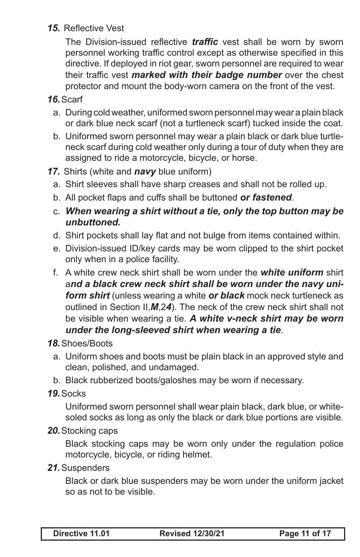#### *15.* Reflective Vest

The Division-issued reflective *traffic* vest shall be worn by sworn personnel working traffic control except as otherwise specified in this directive. If deployed in riot gear, sworn personnel are required to wear their traffic vest *marked with their badge number* over the chest protector and mount the body-worn camera on the front of the vest.

#### *16.*Scarf

- a. During cold weather, uniformed sworn personnel may wear a plain black or dark blue neck scarf (not a turtleneck scarf) tucked inside the coat.
- b. Uniformed sworn personnel may wear a plain black or dark blue turtleneck scarf during cold weather only during a tour of duty when they are assigned to ride a motorcycle, bicycle, or horse.
- *17.* Shirts (white and *navy* blue uniform)
	- a. Shirt sleeves shall have sharp creases and shall not be rolled up.
	- b. All pocket flaps and cuffs shall be buttoned *or fastened*.
	- c. *When wearing a shirt without a tie, only the top button may be unbuttoned.*
	- d. Shirt pockets shall lay flat and not bulge from items contained within.
	- e. Division-issued ID/key cards may be worn clipped to the shirt pocket only when in a police facility.
	- f. A white crew neck shirt shall be worn under the *white uniform* shirt a*nd a black crew neck shirt shall be worn under the navy uniform shirt* (unless wearing a white *or black* mock neck turtleneck as outlined in Section II,*M*,2*4*). The neck of the crew neck shirt shall not be visible when wearing a tie. *A white v-neck shirt may be worn under the long-sleeved shirt when wearing a tie*.

#### *18.*Shoes/Boots

- a. Uniform shoes and boots must be plain black in an approved style and clean, polished, and undamaged.
- b. Black rubberized boots/galoshes may be worn if necessary.
- *19.*Socks

Uniformed sworn personnel shall wear plain black, dark blue, or whitesoled socks as long as only the black or dark blue portions are visible.

*20.*Stocking caps

Black stocking caps may be worn only under the regulation police motorcycle, bicycle, or riding helmet.

*21.*Suspenders

Black or dark blue suspenders may be worn under the uniform jacket so as not to be visible.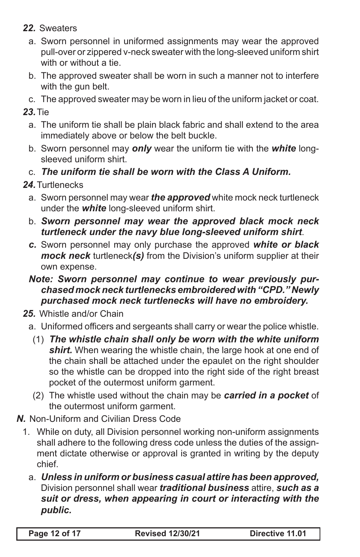- *22.* Sweaters
	- a. Sworn personnel in uniformed assignments may wear the approved pull-over or zippered v-neck sweater with the long-sleeved uniform shirt with or without a tie.
	- b. The approved sweater shall be worn in such a manner not to interfere with the gun belt.
	- c. The approved sweater may be worn in lieu of the uniform jacket or coat.

*23.*Tie

- a. The uniform tie shall be plain black fabric and shall extend to the area immediately above or below the belt buckle.
- b. Sworn personnel may *only* wear the uniform tie with the *white* longsleeved uniform shirt.
- c. *The uniform tie shall be worn with the Class A Uniform.*

### *24.*Turtlenecks

- a. Sworn personnel may wear *the approved* white mock neck turtleneck under the *white* long-sleeved uniform shirt.
- b. *Sworn personnel may wear the approved black mock neck turtleneck under the navy blue long-sleeved uniform shirt*.
- *c.* Sworn personnel may only purchase the approved *white or black mock neck* turtleneck*(s)* from the Division's uniform supplier at their own expense.
- *Note: Sworn personnel may continue to wear previously purchased mock neck turtlenecks embroidered with "CPD." Newly purchased mock neck turtlenecks will have no embroidery.*
- *25.* Whistle and/or Chain
	- a. Uniformed officers and sergeants shall carry or wear the police whistle.
		- (1) *The whistle chain shall only be worn with the white uniform*  shirt. When wearing the whistle chain, the large hook at one end of the chain shall be attached under the epaulet on the right shoulder so the whistle can be dropped into the right side of the right breast pocket of the outermost uniform garment.
		- (2) The whistle used without the chain may be *carried in a pocket* of the outermost uniform garment.
- *N.* Non-Uniform and Civilian Dress Code
	- 1. While on duty, all Division personnel working non-uniform assignments shall adhere to the following dress code unless the duties of the assignment dictate otherwise or approval is granted in writing by the deputy chief.
		- a. *Unless in uniform or business casual attire has been approved,*  Division personnel shall wear *traditional business* attire, *such as a suit or dress, when appearing in court or interacting with the public.*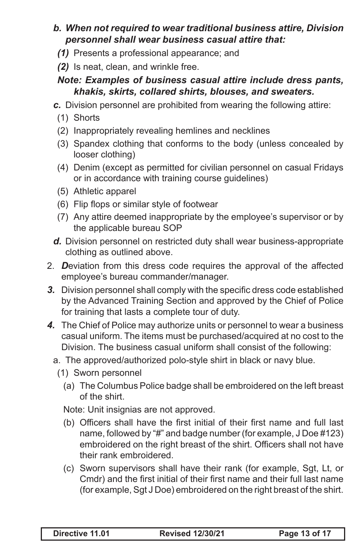#### *b. When not required to wear traditional business attire, Division personnel shall wear business casual attire that:*

- *(1)* Presents a professional appearance; and
- *(2)* Is neat, clean, and wrinkle free.

### *Note: Examples of business casual attire include dress pants, khakis, skirts, collared shirts, blouses, and sweaters.*

*c.* Division personnel are prohibited from wearing the following attire:

- (1) Shorts
- (2) Inappropriately revealing hemlines and necklines
- (3) Spandex clothing that conforms to the body (unless concealed by looser clothing)
- (4) Denim (except as permitted for civilian personnel on casual Fridays or in accordance with training course guidelines)
- (5) Athletic apparel
- (6) Flip flops or similar style of footwear
- (7) Any attire deemed inappropriate by the employee's supervisor or by the applicable bureau SOP
- *d.* Division personnel on restricted duty shall wear business-appropriate clothing as outlined above.
- 2. *D*eviation from this dress code requires the approval of the affected employee's bureau commander/manager.
- *3.* Division personnel shall comply with the specific dress code established by the Advanced Training Section and approved by the Chief of Police for training that lasts a complete tour of duty.
- *4.* The Chief of Police may authorize units or personnel to wear a business casual uniform. The items must be purchased/acquired at no cost to the Division. The business casual uniform shall consist of the following:
	- a. The approved/authorized polo-style shirt in black or navy blue.
		- (1) Sworn personnel
			- (a) The Columbus Police badge shall be embroidered on the left breast of the shirt.

Note: Unit insignias are not approved.

- (b) Officers shall have the first initial of their first name and full last name, followed by "#" and badge number (for example, J Doe #123) embroidered on the right breast of the shirt. Officers shall not have their rank embroidered.
- (c) Sworn supervisors shall have their rank (for example, Sgt, Lt, or Cmdr) and the first initial of their first name and their full last name (for example, Sgt J Doe) embroidered on the right breast of the shirt.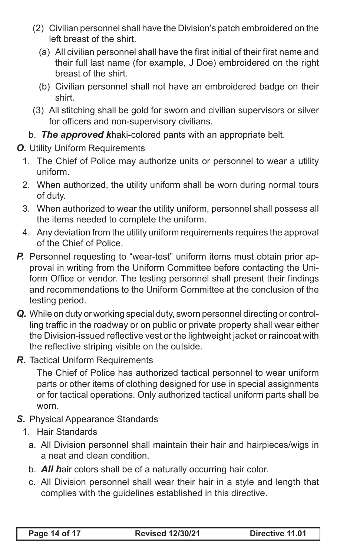- (2) Civilian personnel shall have the Division's patch embroidered on the left breast of the shirt.
	- (a) All civilian personnel shall have the first initial of their first name and their full last name (for example, J Doe) embroidered on the right breast of the shirt.
	- (b) Civilian personnel shall not have an embroidered badge on their shirt.
- (3) All stitching shall be gold for sworn and civilian supervisors or silver for officers and non-supervisory civilians.
- b. *The approved k*haki-colored pants with an appropriate belt.
- *O.* Utility Uniform Requirements
	- 1. The Chief of Police may authorize units or personnel to wear a utility uniform.
	- 2. When authorized, the utility uniform shall be worn during normal tours of duty.
	- 3. When authorized to wear the utility uniform, personnel shall possess all the items needed to complete the uniform.
	- 4. Any deviation from the utility uniform requirements requires the approval of the Chief of Police.
- **P.** Personnel requesting to "wear-test" uniform items must obtain prior approval in writing from the Uniform Committee before contacting the Uniform Office or vendor. The testing personnel shall present their findings and recommendations to the Uniform Committee at the conclusion of the testing period.
- *Q.* While on duty or working special duty, sworn personnel directing or controlling traffic in the roadway or on public or private property shall wear either the Division-issued reflective vest or the lightweight jacket or raincoat with the reflective striping visible on the outside.
- *R.* Tactical Uniform Requirements

The Chief of Police has authorized tactical personnel to wear uniform parts or other items of clothing designed for use in special assignments or for tactical operations. Only authorized tactical uniform parts shall be worn.

- *S.* Physical Appearance Standards
	- 1. Hair Standards
		- a. All Division personnel shall maintain their hair and hairpieces/wigs in a neat and clean condition.
		- b. *All h*air colors shall be of a naturally occurring hair color.
		- c. All Division personnel shall wear their hair in a style and length that complies with the guidelines established in this directive.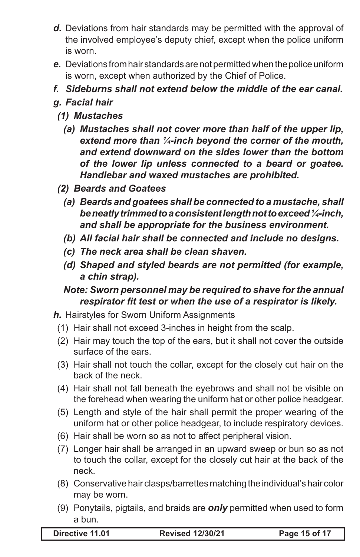- *d.* Deviations from hair standards may be permitted with the approval of the involved employee's deputy chief, except when the police uniform is worn.
- *e.* Deviations from hair standards are not permitted when the police uniform is worn, except when authorized by the Chief of Police.
- *f. Sideburns shall not extend below the middle of the ear canal.*

## *g. Facial hair*

### *(1) Mustaches*

- *(a) Mustaches shall not cover more than half of the upper lip, extend more than ¼-inch beyond the corner of the mouth, and extend downward on the sides lower than the bottom of the lower lip unless connected to a beard or goatee. Handlebar and waxed mustaches are prohibited.*
- *(2) Beards and Goatees*
	- *(a) Beards and goatees shall be connected to a mustache, shall be neatly trimmed to a consistent length not to exceed ¼-inch, and shall be appropriate for the business environment.*
	- *(b) All facial hair shall be connected and include no designs.*
	- *(c) The neck area shall be clean shaven.*
	- *(d) Shaped and styled beards are not permitted (for example, a chin strap).*

### *Note: Sworn personnel may be required to shave for the annual respirator fit test or when the use of a respirator is likely.*

- *h.* Hairstyles for Sworn Uniform Assignments
	- (1) Hair shall not exceed 3-inches in height from the scalp.
	- (2) Hair may touch the top of the ears, but it shall not cover the outside surface of the ears.
	- (3) Hair shall not touch the collar, except for the closely cut hair on the back of the neck.
	- (4) Hair shall not fall beneath the eyebrows and shall not be visible on the forehead when wearing the uniform hat or other police headgear.
	- (5) Length and style of the hair shall permit the proper wearing of the uniform hat or other police headgear, to include respiratory devices.
	- (6) Hair shall be worn so as not to affect peripheral vision.
	- (7) Longer hair shall be arranged in an upward sweep or bun so as not to touch the collar, except for the closely cut hair at the back of the neck.
	- (8) Conservative hair clasps/barrettes matching the individual's hair color may be worn.
	- (9) Ponytails, pigtails, and braids are *only* permitted when used to form a bun.

**Directive 11.01 Revised 12/30/21 Page 15 of 17**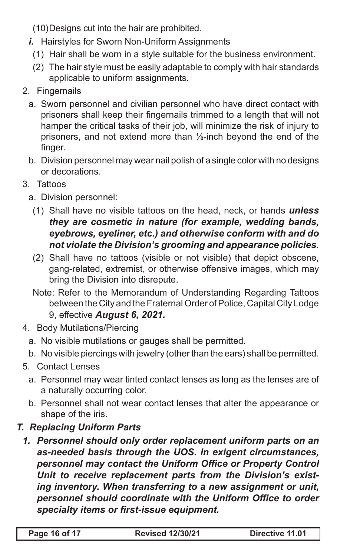(10)Designs cut into the hair are prohibited.

- *i.* Hairstyles for Sworn Non-Uniform Assignments
	- (1) Hair shall be worn in a style suitable for the business environment.
	- (2) The hair style must be easily adaptable to comply with hair standards applicable to uniform assignments.
- 2. Fingernails
	- a. Sworn personnel and civilian personnel who have direct contact with prisoners shall keep their fingernails trimmed to a length that will not hamper the critical tasks of their job, will minimize the risk of injury to prisoners, and not extend more than ⅛-inch beyond the end of the finger.
	- b. Division personnel may wear nail polish of a single color with no designs or decorations.
- 3. Tattoos
	- a. Division personnel:
	- (1) Shall have no visible tattoos on the head, neck, or hands *unless they are cosmetic in nature (for example, wedding bands, eyebrows, eyeliner, etc.) and otherwise conform with and do not violate the Division's grooming and appearance policies.*
	- (2) Shall have no tattoos (visible or not visible) that depict obscene, gang-related, extremist, or otherwise offensive images, which may bring the Division into disrepute.
	- Note: Refer to the Memorandum of Understanding Regarding Tattoos between the City and the Fraternal Order of Police, Capital City Lodge 9, effective *August 6, 2021.*
- 4. Body Mutilations/Piercing
	- a. No visible mutilations or gauges shall be permitted.
	- b. No visible piercings with jewelry (other than the ears) shall be permitted.
- 5. Contact Lenses
	- a. Personnel may wear tinted contact lenses as long as the lenses are of a naturally occurring color.
	- b. Personnel shall not wear contact lenses that alter the appearance or shape of the iris.

## *T. Replacing Uniform Parts*

*1. Personnel should only order replacement uniform parts on an as-needed basis through the UOS. In exigent circumstances, personnel may contact the Uniform Office or Property Control Unit to receive replacement parts from the Division's existing inventory. When transferring to a new assignment or unit, personnel should coordinate with the Uniform Office to order specialty items or first-issue equipment.*

| Page 16 of 17 | <b>Revised 12/30/21</b> | Directive 11.01 |
|---------------|-------------------------|-----------------|
|---------------|-------------------------|-----------------|